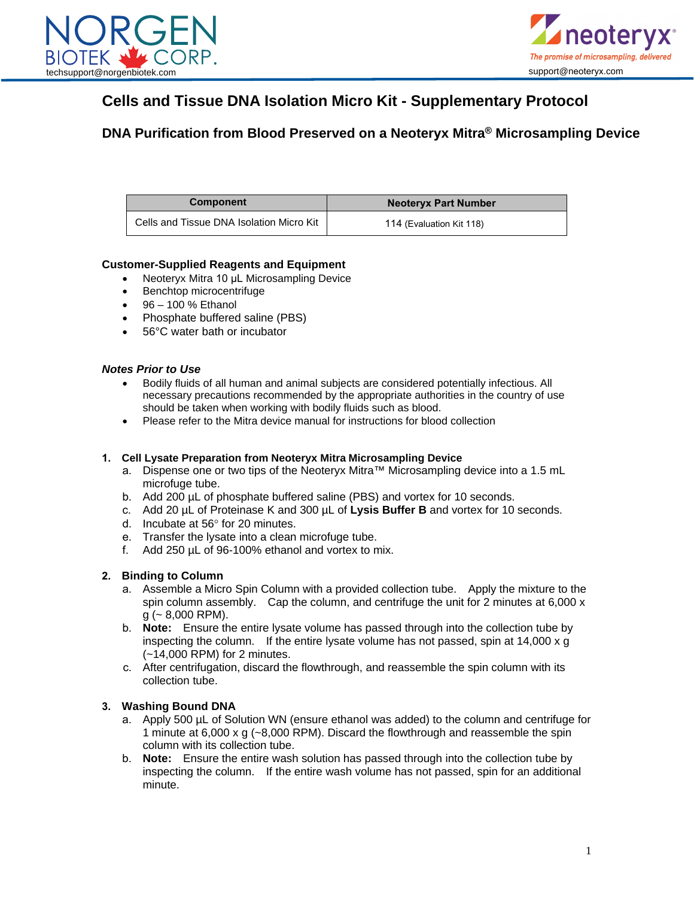



### **Cells and Tissue DNA Isolation Micro Kit - Supplementary Protocol**

**DNA Purification from Blood Preserved on a Neoteryx Mitra® Microsampling Device**

| <b>Component</b>                         | <b>Neoteryx Part Number</b> |
|------------------------------------------|-----------------------------|
| Cells and Tissue DNA Isolation Micro Kit | 114 (Evaluation Kit 118)    |

### **Customer-Supplied Reagents and Equipment**

- Neoteryx Mitra 10 µL Microsampling Device
- Benchtop microcentrifuge
- 96 100 % Ethanol
- Phosphate buffered saline (PBS)
- 56°C water bath or incubator

#### *Notes Prior to Use*

- Bodily fluids of all human and animal subjects are considered potentially infectious. All necessary precautions recommended by the appropriate authorities in the country of use should be taken when working with bodily fluids such as blood.
- Please refer to the Mitra device manual for instructions for blood collection

#### **1. Cell Lysate Preparation from Neoteryx Mitra Microsampling Device**

- a. Dispense one or two tips of the Neoteryx Mitra™ Microsampling device into a 1.5 mL microfuge tube.
- b. Add 200 µL of phosphate buffered saline (PBS) and vortex for 10 seconds.
- c. Add 20 µL of Proteinase K and 300 µL of **Lysis Buffer B** and vortex for 10 seconds.
- d. Incubate at 56° for 20 minutes.
- e. Transfer the lysate into a clean microfuge tube.
- f. Add 250 µL of 96-100% ethanol and vortex to mix.

#### **2. Binding to Column**

- a. Assemble a Micro Spin Column with a provided collection tube. Apply the mixture to the spin column assembly. Cap the column, and centrifuge the unit for 2 minutes at 6,000 x  $g$  ( $\sim$  8,000 RPM).
- b. **Note:** Ensure the entire lysate volume has passed through into the collection tube by inspecting the column. If the entire lysate volume has not passed, spin at 14,000 x g (~14,000 RPM) for 2 minutes.
- c. After centrifugation, discard the flowthrough, and reassemble the spin column with its collection tube.

#### **3. Washing Bound DNA**

- a. Apply 500 µL of Solution WN (ensure ethanol was added) to the column and centrifuge for 1 minute at 6,000 x g (~8,000 RPM). Discard the flowthrough and reassemble the spin column with its collection tube.
- b. **Note:** Ensure the entire wash solution has passed through into the collection tube by inspecting the column. If the entire wash volume has not passed, spin for an additional minute.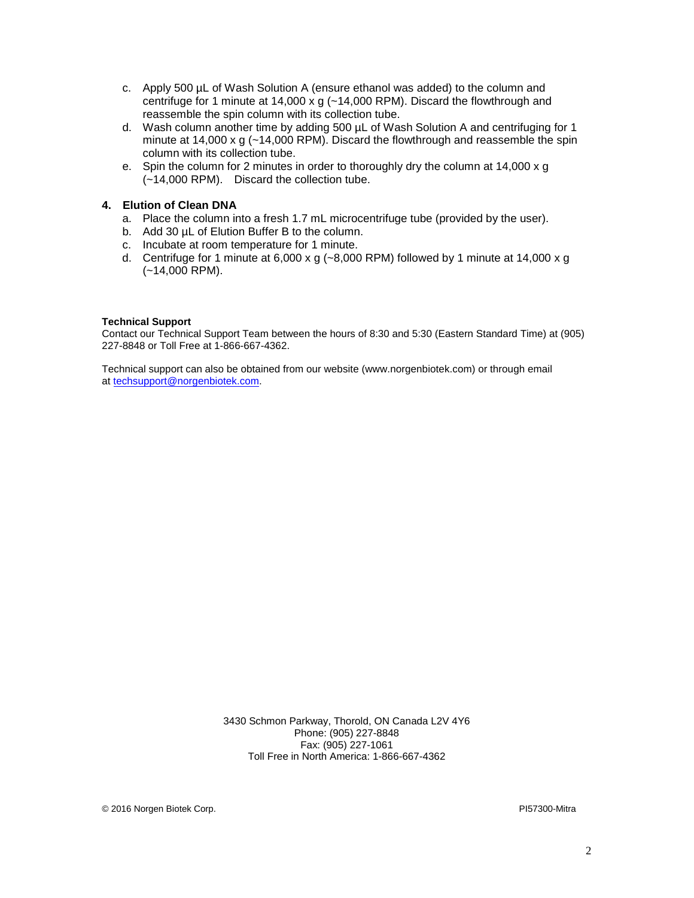- c. Apply 500 µL of Wash Solution A (ensure ethanol was added) to the column and centrifuge for 1 minute at 14,000 x g (~14,000 RPM). Discard the flowthrough and reassemble the spin column with its collection tube.
- d. Wash column another time by adding 500 µL of Wash Solution A and centrifuging for 1 minute at 14,000 x g ( $\sim$ 14,000 RPM). Discard the flowthrough and reassemble the spin column with its collection tube.
- e. Spin the column for 2 minutes in order to thoroughly dry the column at 14,000 x g (~14,000 RPM). Discard the collection tube.

#### **4. Elution of Clean DNA**

- a. Place the column into a fresh 1.7 mL microcentrifuge tube (provided by the user).
- b. Add 30  $\mu$ L of Elution Buffer B to the column.
- c. Incubate at room temperature for 1 minute.
- d. Centrifuge for 1 minute at 6,000 x g ( $\sim$ 8,000 RPM) followed by 1 minute at 14,000 x g (~14,000 RPM).

#### **Technical Support**

Contact our Technical Support Team between the hours of 8:30 and 5:30 (Eastern Standard Time) at (905) 227-8848 or Toll Free at 1-866-667-4362.

Technical support can also be obtained from our website (www.norgenbiotek.com) or through email at [techsupport@norgenbiotek.com.](mailto:techsupport@norgenbiotek.com)

> 3430 Schmon Parkway, Thorold, ON Canada L2V 4Y6 Phone: (905) 227-8848 Fax: (905) 227-1061 Toll Free in North America: 1-866-667-4362

© 2016 Norgen Biotek Corp. PI57300-Mitra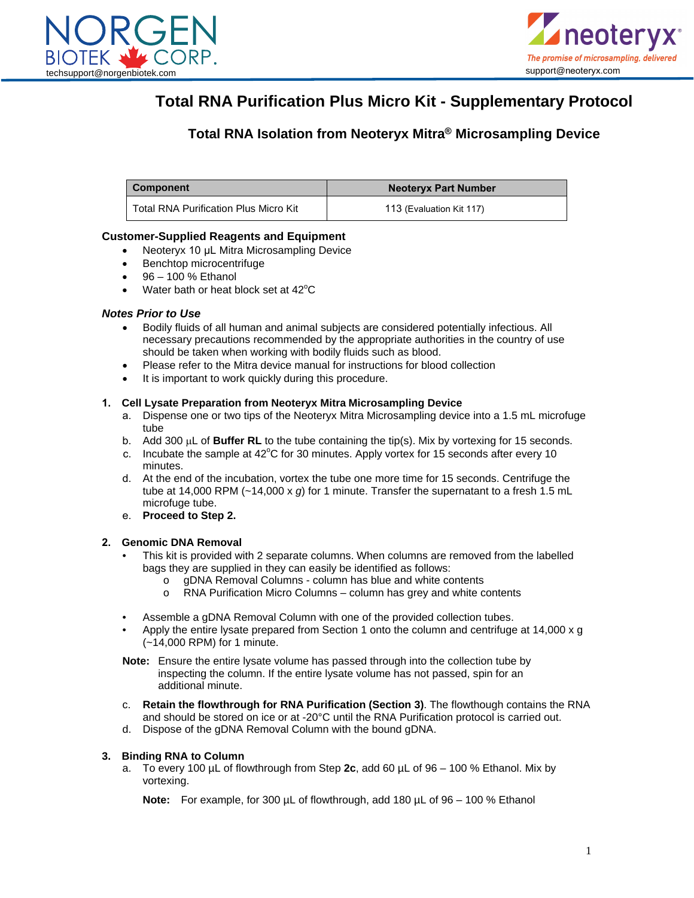



## **Total RNA Purification Plus Micro Kit - Supplementary Protocol**

### **Total RNA Isolation from Neoteryx Mitra® Microsampling Device**

**Component Neoteryx Part Number** Total RNA Purification Plus Micro Kit 15 113 (Evaluation Kit 117)

#### **Customer-Supplied Reagents and Equipment**

- Neoteryx 10 µL Mitra Microsampling Device
- Benchtop microcentrifuge
- $•$   $96 100 %$  Ethanol
- Water bath or heat block set at  $42^{\circ}$ C

#### *Notes Prior to Use*

- Bodily fluids of all human and animal subjects are considered potentially infectious. All necessary precautions recommended by the appropriate authorities in the country of use should be taken when working with bodily fluids such as blood.
- Please refer to the Mitra device manual for instructions for blood collection
- It is important to work quickly during this procedure.

#### **1. Cell Lysate Preparation from Neoteryx Mitra Microsampling Device**

- a. Dispense one or two tips of the Neoteryx Mitra Microsampling device into a 1.5 mL microfuge tube
- b. Add 300 µL of **Buffer RL** to the tube containing the tip(s). Mix by vortexing for 15 seconds.
- c. Incubate the sample at  $42^{\circ}$ C for 30 minutes. Apply vortex for 15 seconds after every 10 minutes.
- d. At the end of the incubation, vortex the tube one more time for 15 seconds. Centrifuge the tube at 14,000 RPM (~14,000 x *g*) for 1 minute. Transfer the supernatant to a fresh 1.5 mL microfuge tube.
- e. **Proceed to Step 2.**

#### **2. Genomic DNA Removal**

- This kit is provided with 2 separate columns. When columns are removed from the labelled bags they are supplied in they can easily be identified as follows:
	- o gDNA Removal Columns column has blue and white contents
	- o RNA Purification Micro Columns column has grey and white contents
- Assemble a gDNA Removal Column with one of the provided collection tubes.
- Apply the entire lysate prepared from Section 1 onto the column and centrifuge at 14,000 x g (~14,000 RPM) for 1 minute.

**Note:** Ensure the entire lysate volume has passed through into the collection tube by inspecting the column. If the entire lysate volume has not passed, spin for an additional minute.

- c. **Retain the flowthrough for RNA Purification (Section 3)**. The flowthough contains the RNA and should be stored on ice or at -20°C until the RNA Purification protocol is carried out.
- d. Dispose of the gDNA Removal Column with the bound gDNA.

#### **3. Binding RNA to Column**

a. To every 100 µL of flowthrough from Step **2c**, add 60 µL of 96 – 100 % Ethanol. Mix by vortexing.

**Note:** For example, for 300 µL of flowthrough, add 180 µL of 96 – 100 % Ethanol